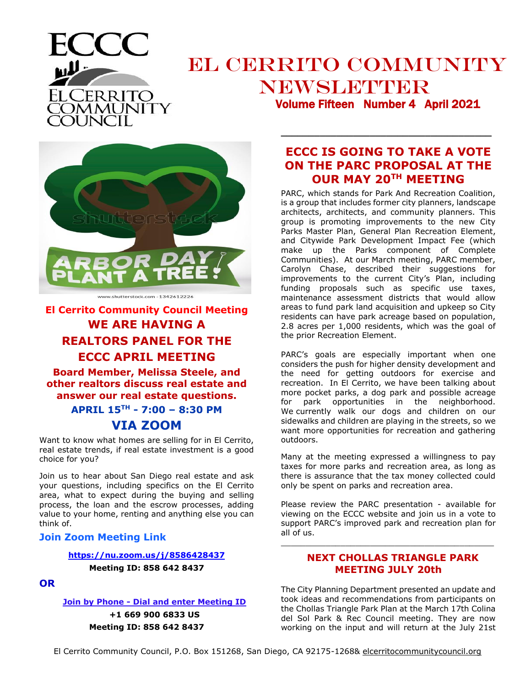

## EL CERRITO COMMUNITY NEWSLETTER Volume Fifteen Number 4 April 2021



**El Cerrito Community Council Meeting WE ARE HAVING A REALTORS PANEL FOR THE ECCC APRIL MEETING** 

**Board Member, Melissa Steele, and other realtors discuss real estate and answer our real estate questions.** 

> **APRIL 15TH - 7:00 – 8:30 PM VIA ZOOM**

Want to know what homes are selling for in El Cerrito, real estate trends, if real estate investment is a good choice for you?

Join us to hear about San Diego real estate and ask your questions, including specifics on the El Cerrito area, what to expect during the buying and selling process, the loan and the escrow processes, adding value to your home, renting and anything else you can think of.

## **Join Zoom Meeting Link**

#### **<https://nu.zoom.us/j/8586428437>**

**Meeting ID: 858 642 8437**

### **OR**

**Join by Phone - Dial and enter Meeting ID**

**+1 669 900 6833 US Meeting ID: 858 642 8437**

## **ECCC IS GOING TO TAKE A VOTE ON THE PARC PROPOSAL AT THE OUR MAY 20TH MEETING**

**\_\_\_\_\_\_\_\_\_\_\_\_\_\_\_\_\_\_\_\_\_\_\_\_\_\_\_\_\_\_\_\_\_\_\_\_\_\_**

PARC, which stands for Park And Recreation Coalition, is a group that includes former city planners, landscape architects, architects, and community planners. This group is promoting improvements to the new City Parks Master Plan, General Plan Recreation Element, and Citywide Park Development Impact Fee (which make up the Parks component of Complete Communities). At our March meeting, PARC member, Carolyn Chase, described their suggestions for improvements to the current City's Plan, including funding proposals such as specific use taxes, maintenance assessment districts that would allow areas to fund park land acquisition and upkeep so City residents can have park acreage based on population, 2.8 acres per 1,000 residents, which was the goal of the prior Recreation Element.

PARC's goals are especially important when one considers the push for higher density development and the need for getting outdoors for exercise and recreation. In El Cerrito, we have been talking about more pocket parks, a dog park and possible acreage for park opportunities in the neighborhood. We currently walk our dogs and children on our sidewalks and children are playing in the streets, so we want more opportunities for recreation and gathering outdoors.

Many at the meeting expressed a willingness to pay taxes for more parks and recreation area, as long as there is assurance that the tax money collected could only be spent on parks and recreation area.

Please review the PARC presentation - available for viewing on the ECCC website and join us in a vote to support PARC's improved park and recreation plan for all of us.

\_\_\_\_\_\_\_\_\_\_\_\_\_\_\_\_\_\_\_\_\_\_\_\_\_\_\_\_\_\_\_\_\_\_\_\_\_\_\_\_\_\_\_

## **NEXT CHOLLAS TRIANGLE PARK MEETING JULY 20th**

The City Planning Department presented an update and took ideas and recommendations from participants on the Chollas Triangle Park Plan at the March 17th Colina del Sol Park & Rec Council meeting. They are now working on the input and will return at the July 21st

El Cerrito Community Council, P.O. Box 151268, San Diego, CA 92175-1268& elcerritocommunitycouncil.org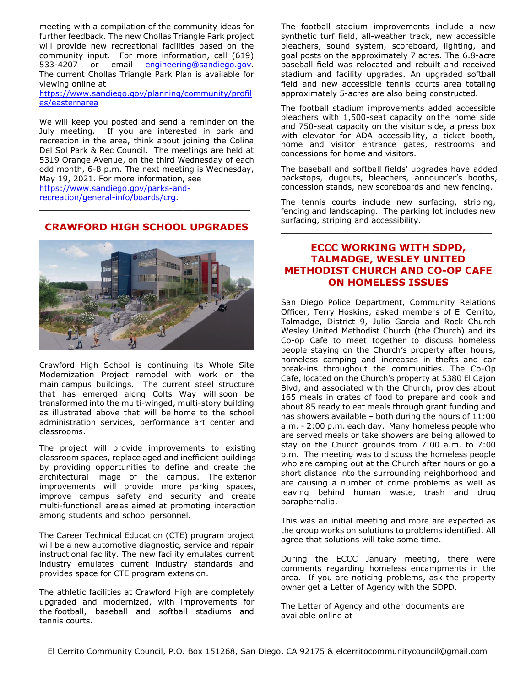meeting with a compilation of the community ideas for further feedback. The new Chollas Triangle Park project will provide new recreational facilities based on the community input. For more information, call (619) 533-4207 or email [engineering@sandiego.gov.](mailto:engineering@sandiego.gov) The current Chollas Triangle Park Plan is available for viewing online at

[https://www.sandiego.gov/planning/community/profil](https://www.sandiego.gov/planning/community/profiles/easternarea) [es/easternarea](https://www.sandiego.gov/planning/community/profiles/easternarea)

We will keep you posted and send a reminder on the July meeting. If you are interested in park and recreation in the area, think about joining the Colina Del Sol Park & Rec Council. The meetings are held at 5319 Orange Avenue, on the third Wednesday of each odd month, 6-8 p.m. The next meeting is Wednesday, May 19, 2021. For more information, see [https://www.sandiego.gov/parks-and](https://www.sandiego.gov/parks-and-recreation/general-info/boards/crg)[recreation/general-info/boards/crg.](https://www.sandiego.gov/parks-and-recreation/general-info/boards/crg)

#### **CRAWFORD HIGH SCHOOL UPGRADES**

**\_\_\_\_\_\_\_\_\_\_\_\_\_\_\_\_\_\_\_\_\_\_\_\_\_\_\_\_\_\_\_\_\_\_\_\_\_\_**



Crawford High School is continuing its Whole Site Modernization Project remodel with work on the main campus buildings. The current steel structure that has emerged along Colts Way will soon be transformed into the multi-winged, multi-story building as illustrated above that will be home to the school administration services, performance art center and classrooms.

The project will provide improvements to existing classroom spaces, replace aged and inefficient buildings by providing opportunities to define and create the architectural image of the campus. The exterior improvements will provide more parking spaces, improve campus safety and security and create multi-functional areas aimed at promoting interaction among students and school personnel.

The Career Technical Education (CTE) program project will be a new automotive diagnostic, service and repair instructional facility. The new facility emulates current industry emulates current industry standards and provides space for CTE program extension.

The athletic facilities at Crawford High are completely upgraded and modernized, with improvements for the football, baseball and softball stadiums and tennis courts.

The football stadium improvements include a new synthetic turf field, all-weather track, new accessible bleachers, sound system, scoreboard, lighting, and goal posts on the approximately 7 acres. The 6.8-acre baseball field was relocated and rebuilt and received stadium and facility upgrades. An upgraded softball field and new accessible tennis courts area totaling approximately 5-acres are also being constructed.

The football stadium improvements added accessible bleachers with 1,500-seat capacity onthe home side and 750-seat capacity on the visitor side, a press box with elevator for ADA accessibility, a ticket booth, home and visitor entrance gates, restrooms and concessions for home and visitors.

The baseball and softball fields' upgrades have added backstops, dugouts, bleachers, announcer's booths, concession stands, new scoreboards and new fencing.

The tennis courts include new surfacing, striping, fencing and landscaping. The parking lot includes new surfacing, striping and accessibility.

**\_\_\_\_\_\_\_\_\_\_\_\_\_\_\_\_\_\_\_\_\_\_\_\_\_\_\_\_\_\_\_\_\_\_\_\_\_\_**

### **ECCC WORKING WITH SDPD, TALMADGE, WESLEY UNITED METHODIST CHURCH AND CO-OP CAFE ON HOMELESS ISSUES**

San Diego Police Department, Community Relations Officer, Terry Hoskins, asked members of El Cerrito, Talmadge, District 9, Julio Garcia and Rock Church Wesley United Methodist Church (the Church) and its Co-op Cafe to meet together to discuss homeless people staying on the Church's property after hours, homeless camping and increases in thefts and car break-ins throughout the communities. The Co-Op Cafe, located on the Church's property at 5380 El Cajon Blvd, and associated with the Church, provides about 165 meals in crates of food to prepare and cook and about 85 ready to eat meals through grant funding and has showers available – both during the hours of 11:00 a.m. - 2:00 p.m. each day. Many homeless people who are served meals or take showers are being allowed to stay on the Church grounds from 7:00 a.m. to 7:00 p.m. The meeting was to discuss the homeless people who are camping out at the Church after hours or go a short distance into the surrounding neighborhood and are causing a number of crime problems as well as leaving behind human waste, trash and drug paraphernalia.

This was an initial meeting and more are expected as the group works on solutions to problems identified. All agree that solutions will take some time.

During the ECCC January meeting, there were comments regarding homeless encampments in the area. If you are noticing problems, ask the property owner get a Letter of Agency with the SDPD.

The Letter of Agency and other documents are available online at